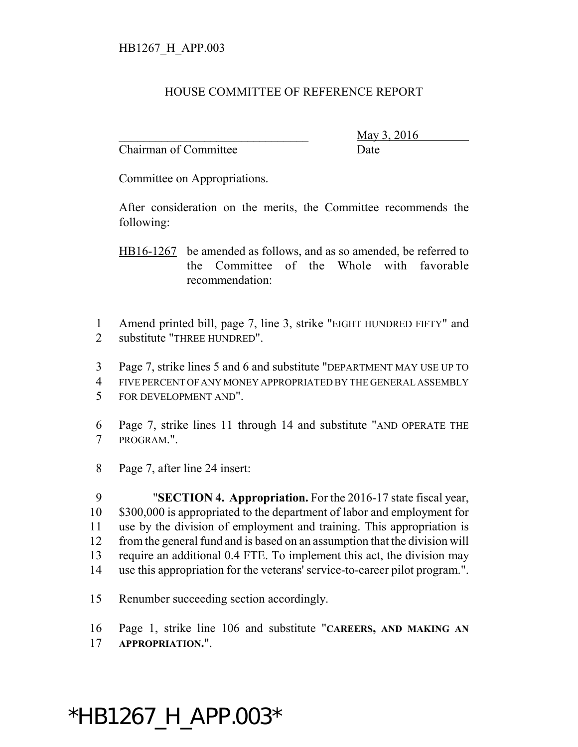## HOUSE COMMITTEE OF REFERENCE REPORT

Chairman of Committee **Date** 

\_\_\_\_\_\_\_\_\_\_\_\_\_\_\_\_\_\_\_\_\_\_\_\_\_\_\_\_\_\_\_ May 3, 2016

Committee on Appropriations.

After consideration on the merits, the Committee recommends the following:

HB16-1267 be amended as follows, and as so amended, be referred to the Committee of the Whole with favorable recommendation:

 Amend printed bill, page 7, line 3, strike "EIGHT HUNDRED FIFTY" and substitute "THREE HUNDRED".

- Page 7, strike lines 5 and 6 and substitute "DEPARTMENT MAY USE UP TO
- FIVE PERCENT OF ANY MONEY APPROPRIATED BY THE GENERAL ASSEMBLY
- FOR DEVELOPMENT AND".
- Page 7, strike lines 11 through 14 and substitute "AND OPERATE THE PROGRAM.".
- Page 7, after line 24 insert:

 "**SECTION 4. Appropriation.** For the 2016-17 state fiscal year, \$300,000 is appropriated to the department of labor and employment for use by the division of employment and training. This appropriation is from the general fund and is based on an assumption that the division will require an additional 0.4 FTE. To implement this act, the division may use this appropriation for the veterans' service-to-career pilot program.".

Renumber succeeding section accordingly.

Page 1, strike line 106 and substitute "**CAREERS, AND MAKING AN**

**APPROPRIATION.**".

## \*HB1267\_H\_APP.003\*